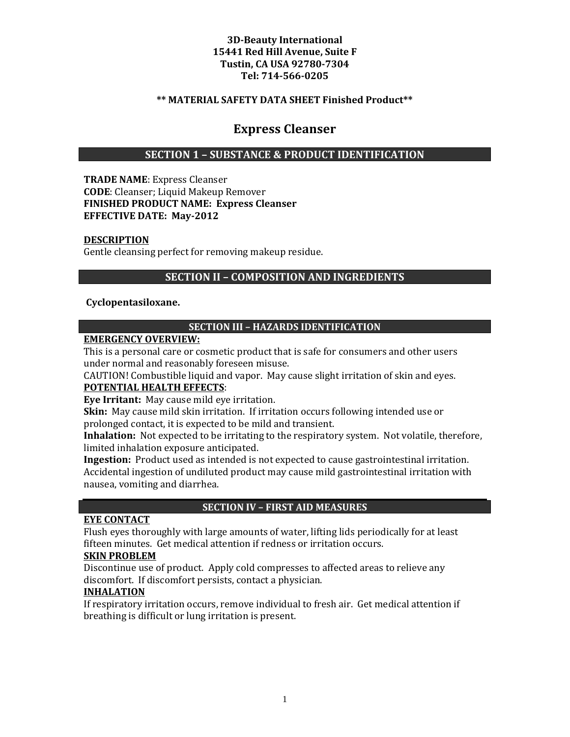### **\*\* MATERIAL SAFETY DATA SHEET Finished Product\*\***

# **Express Cleanser**

### **SECTION 1 – SUBSTANCE & PRODUCT IDENTIFICATION**

**TRADE NAME**: Express Cleanser **CODE**: Cleanser; Liquid Makeup Remover **FINISHED PRODUCT NAME: Express Cleanser EFFECTIVE DATE: May-2012**

#### **DESCRIPTION**

Gentle cleansing perfect for removing makeup residue.

### **SECTION II – COMPOSITION AND INGREDIENTS**

#### **Cyclopentasiloxane.**

#### **SECTION III – HAZARDS IDENTIFICATION**

#### **EMERGENCY OVERVIEW:**

This is a personal care or cosmetic product that is safe for consumers and other users under normal and reasonably foreseen misuse.

CAUTION! Combustible liquid and vapor. May cause slight irritation of skin and eyes.

# **POTENTIAL HEALTH EFFECTS**:

**Eye Irritant:** May cause mild eye irritation.

**Skin:** May cause mild skin irritation. If irritation occurs following intended use or prolonged contact, it is expected to be mild and transient.

**Inhalation:** Not expected to be irritating to the respiratory system. Not volatile, therefore, limited inhalation exposure anticipated.

**Ingestion:** Product used as intended is not expected to cause gastrointestinal irritation. Accidental ingestion of undiluted product may cause mild gastrointestinal irritation with nausea, vomiting and diarrhea.

#### **SECTION IV – FIRST AID MEASURES**

### **EYE CONTACT**

Flush eyes thoroughly with large amounts of water, lifting lids periodically for at least fifteen minutes. Get medical attention if redness or irritation occurs.

#### **SKIN PROBLEM**

Discontinue use of product. Apply cold compresses to affected areas to relieve any discomfort. If discomfort persists, contact a physician.

#### **INHALATION**

If respiratory irritation occurs, remove individual to fresh air. Get medical attention if breathing is difficult or lung irritation is present.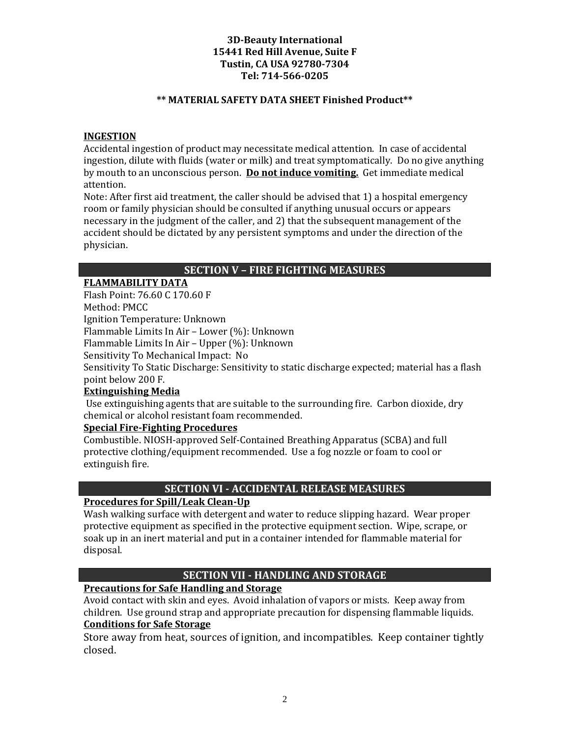### **\*\* MATERIAL SAFETY DATA SHEET Finished Product\*\***

### **INGESTION**

Accidental ingestion of product may necessitate medical attention. In case of accidental ingestion, dilute with fluids (water or milk) and treat symptomatically. Do no give anything by mouth to an unconscious person. **Do not induce vomiting.** Get immediate medical attention.

Note: After first aid treatment, the caller should be advised that 1) a hospital emergency room or family physician should be consulted if anything unusual occurs or appears necessary in the judgment of the caller, and 2) that the subsequent management of the accident should be dictated by any persistent symptoms and under the direction of the physician.

### **SECTION V – FIRE FIGHTING MEASURES**

### **FLAMMABILITY DATA**

Flash Point: 76.60 C 170.60 F

Method: PMCC

Ignition Temperature: Unknown

Flammable Limits In Air – Lower (%): Unknown

Flammable Limits In Air – Upper (%): Unknown

Sensitivity To Mechanical Impact: No

Sensitivity To Static Discharge: Sensitivity to static discharge expected; material has a flash point below 200 F.

### **Extinguishing Media**

Use extinguishing agents that are suitable to the surrounding fire. Carbon dioxide, dry chemical or alcohol resistant foam recommended.

### **Special Fire-Fighting Procedures**

Combustible. NIOSH-approved Self-Contained Breathing Apparatus (SCBA) and full protective clothing/equipment recommended. Use a fog nozzle or foam to cool or extinguish fire.

### **SECTION VI - ACCIDENTAL RELEASE MEASURES**

### **Procedures for Spill/Leak Clean-Up**

Wash walking surface with detergent and water to reduce slipping hazard. Wear proper protective equipment as specified in the protective equipment section. Wipe, scrape, or soak up in an inert material and put in a container intended for flammable material for disposal.

### **SECTION VII - HANDLING AND STORAGE**

### **Precautions for Safe Handling and Storage**

Avoid contact with skin and eyes. Avoid inhalation of vapors or mists. Keep away from children. Use ground strap and appropriate precaution for dispensing flammable liquids. **Conditions for Safe Storage**

Store away from heat, sources of ignition, and incompatibles. Keep container tightly closed.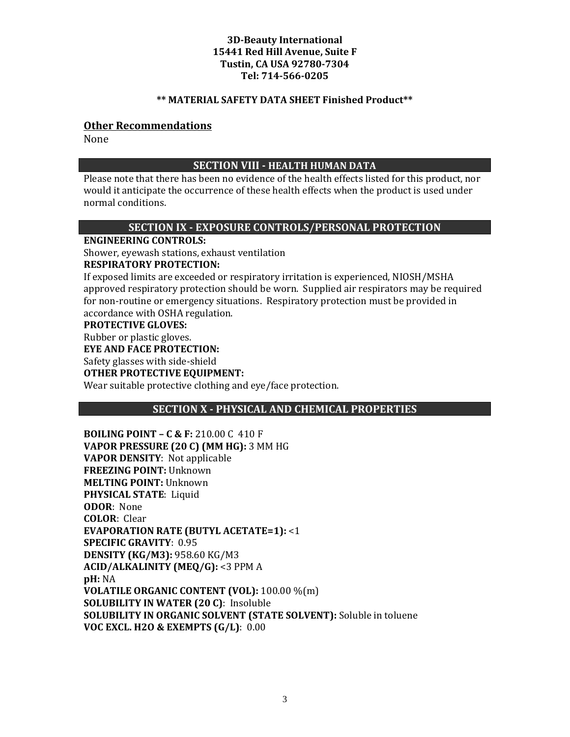#### **\*\* MATERIAL SAFETY DATA SHEET Finished Product\*\***

### **Other Recommendations**

None

### **SECTION VIII - HEALTH HUMAN DATA**

Please note that there has been no evidence of the health effects listed for this product, nor would it anticipate the occurrence of these health effects when the product is used under normal conditions.

### **SECTION IX - EXPOSURE CONTROLS/PERSONAL PROTECTION**

**ENGINEERING CONTROLS:**

Shower, eyewash stations, exhaust ventilation

#### **RESPIRATORY PROTECTION:**

If exposed limits are exceeded or respiratory irritation is experienced, NIOSH/MSHA approved respiratory protection should be worn. Supplied air respirators may be required for non-routine or emergency situations. Respiratory protection must be provided in accordance with OSHA regulation.

#### **PROTECTIVE GLOVES:**

Rubber or plastic gloves.

#### **EYE AND FACE PROTECTION:**

Safety glasses with side-shield

#### **OTHER PROTECTIVE EQUIPMENT:**

Wear suitable protective clothing and eye/face protection.

### **SECTION X - PHYSICAL AND CHEMICAL PROPERTIES**

**BOILING POINT – C & F:** 210.00 C 410 F **VAPOR PRESSURE (20 C) (MM HG):** 3 MM HG **VAPOR DENSITY**: Not applicable **FREEZING POINT:** Unknown **MELTING POINT:** Unknown **PHYSICAL STATE**: Liquid **ODOR**: None **COLOR**: Clear **EVAPORATION RATE (BUTYL ACETATE=1):** <1 **SPECIFIC GRAVITY**: 0.95 **DENSITY (KG/M3):** 958.60 KG/M3 **ACID/ALKALINITY (MEQ/G):** <3 PPM A **pH:** NA **VOLATILE ORGANIC CONTENT (VOL):** 100.00 %(m) **SOLUBILITY IN WATER (20 C)**: Insoluble **SOLUBILITY IN ORGANIC SOLVENT (STATE SOLVENT):** Soluble in toluene **VOC EXCL. H2O & EXEMPTS (G/L)**: 0.00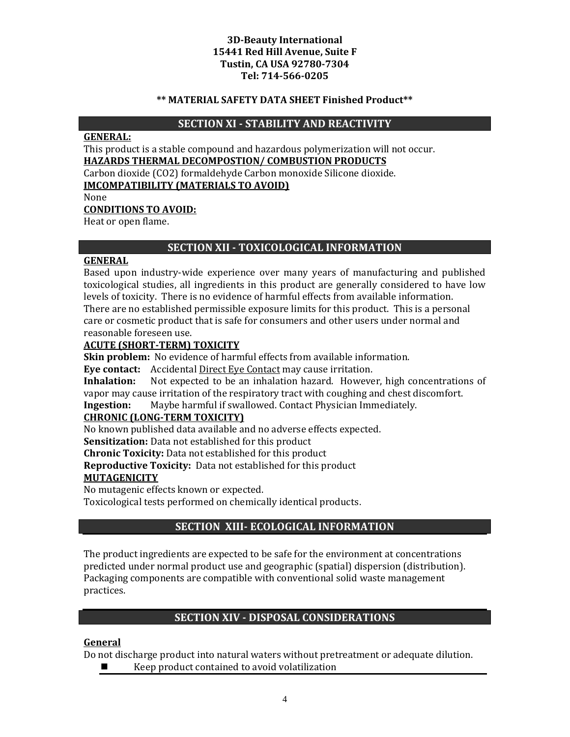#### **\*\* MATERIAL SAFETY DATA SHEET Finished Product\*\***

### **SECTION XI - STABILITY AND REACTIVITY**

### **GENERAL:**

This product is a stable compound and hazardous polymerization will not occur. **HAZARDS THERMAL DECOMPOSTION/ COMBUSTION PRODUCTS**

Carbon dioxide (CO2) formaldehyde Carbon monoxide Silicone dioxide. **IMCOMPATIBILITY (MATERIALS TO AVOID)**

None

### **CONDITIONS TO AVOID:**

Heat or open flame.

# **SECTION XII - TOXICOLOGICAL INFORMATION**

### **GENERAL**

Based upon industry-wide experience over many years of manufacturing and published toxicological studies, all ingredients in this product are generally considered to have low levels of toxicity. There is no evidence of harmful effects from available information. There are no established permissible exposure limits for this product. This is a personal care or cosmetic product that is safe for consumers and other users under normal and reasonable foreseen use.

### **ACUTE (SHORT-TERM) TOXICITY**

**Skin problem:** No evidence of harmful effects from available information.

**Eye contact:** Accidental Direct Eye Contact may cause irritation.<br>**Inhalation:** Not expected to be an inhalation hazard. Howeve

**Inhalation:** Not expected to be an inhalation hazard. However, high concentrations of vapor may cause irritation of the respiratory tract with coughing and chest discomfort.<br>Ingestion: Maybe harmful if swallowed. Contact Physician Immediately.

**Ingestion:** Maybe harmful if swallowed. Contact Physician Immediately.

### **CHRONIC (LONG-TERM TOXICITY)**

No known published data available and no adverse effects expected.

**Sensitization:** Data not established for this product

**Chronic Toxicity:** Data not established for this product

**Reproductive Toxicity:** Data not established for this product

### **MUTAGENICITY**

No mutagenic effects known or expected.

Toxicological tests performed on chemically identical products.

# **SECTION XIII- ECOLOGICAL INFORMATION**

The product ingredients are expected to be safe for the environment at concentrations predicted under normal product use and geographic (spatial) dispersion (distribution). Packaging components are compatible with conventional solid waste management practices.

# **SECTION XIV - DISPOSAL CONSIDERATIONS**

### **General**

Do not discharge product into natural waters without pretreatment or adequate dilution.<br>■ Keen product contained to avoid volatilization

Keep product contained to avoid volatilization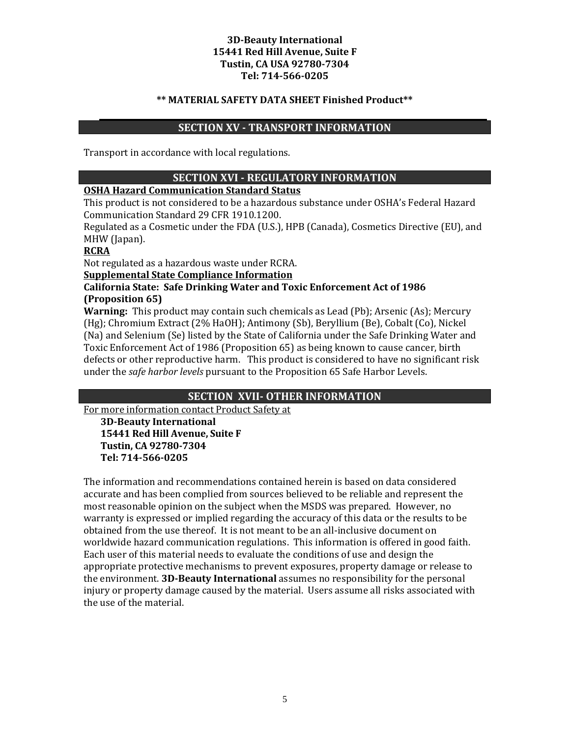#### **\*\* MATERIAL SAFETY DATA SHEET Finished Product\*\***

# **SECTION XV - TRANSPORT INFORMATION**

Transport in accordance with local regulations.

### **SECTION XVI - REGULATORY INFORMATION**

### **OSHA Hazard Communication Standard Status**

This product is not considered to be a hazardous substance under OSHA's Federal Hazard Communication Standard 29 CFR 1910.1200.

Regulated as a Cosmetic under the FDA (U.S.), HPB (Canada), Cosmetics Directive (EU), and MHW (Japan).

#### **RCRA**

Not regulated as a hazardous waste under RCRA.

**Supplemental State Compliance Information**

### **California State: Safe Drinking Water and Toxic Enforcement Act of 1986 (Proposition 65)**

**Warning:** This product may contain such chemicals as Lead (Pb); Arsenic (As); Mercury (Hg); Chromium Extract (2% HaOH); Antimony (Sb), Beryllium (Be), Cobalt (Co), Nickel (Na) and Selenium (Se) listed by the State of California under the Safe Drinking Water and Toxic Enforcement Act of 1986 (Proposition 65) as being known to cause cancer, birth defects or other reproductive harm. This product is considered to have no significant risk under the *safe harbor levels* pursuant to the Proposition 65 Safe Harbor Levels.

### **SECTION XVII- OTHER INFORMATION**

For more information contact Product Safety at

**3D-Beauty International 15441 Red Hill Avenue, Suite F Tustin, CA 92780-7304 Tel: 714-566-0205**

The information and recommendations contained herein is based on data considered accurate and has been complied from sources believed to be reliable and represent the most reasonable opinion on the subject when the MSDS was prepared. However, no warranty is expressed or implied regarding the accuracy of this data or the results to be obtained from the use thereof. It is not meant to be an all-inclusive document on worldwide hazard communication regulations. This information is offered in good faith. Each user of this material needs to evaluate the conditions of use and design the appropriate protective mechanisms to prevent exposures, property damage or release to the environment. **3D-Beauty International** assumes no responsibility for the personal injury or property damage caused by the material. Users assume all risks associated with the use of the material.